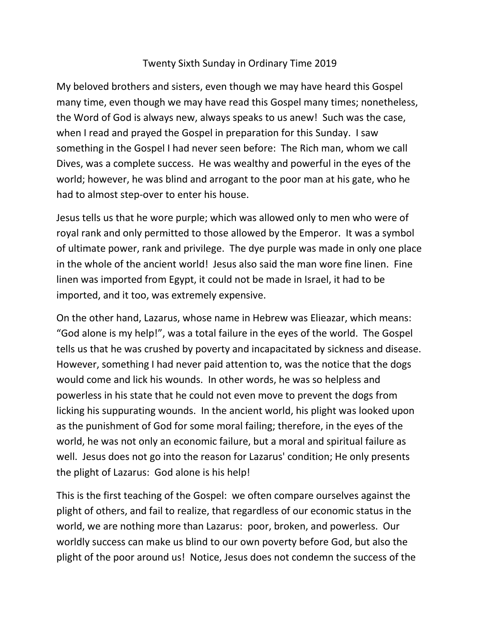## Twenty Sixth Sunday in Ordinary Time 2019

My beloved brothers and sisters, even though we may have heard this Gospel many time, even though we may have read this Gospel many times; nonetheless, the Word of God is always new, always speaks to us anew! Such was the case, when I read and prayed the Gospel in preparation for this Sunday. I saw something in the Gospel I had never seen before: The Rich man, whom we call Dives, was a complete success. He was wealthy and powerful in the eyes of the world; however, he was blind and arrogant to the poor man at his gate, who he had to almost step-over to enter his house.

Jesus tells us that he wore purple; which was allowed only to men who were of royal rank and only permitted to those allowed by the Emperor. It was a symbol of ultimate power, rank and privilege. The dye purple was made in only one place in the whole of the ancient world! Jesus also said the man wore fine linen. Fine linen was imported from Egypt, it could not be made in Israel, it had to be imported, and it too, was extremely expensive.

On the other hand, Lazarus, whose name in Hebrew was Elieazar, which means: "God alone is my help!", was a total failure in the eyes of the world. The Gospel tells us that he was crushed by poverty and incapacitated by sickness and disease. However, something I had never paid attention to, was the notice that the dogs would come and lick his wounds. In other words, he was so helpless and powerless in his state that he could not even move to prevent the dogs from licking his suppurating wounds. In the ancient world, his plight was looked upon as the punishment of God for some moral failing; therefore, in the eyes of the world, he was not only an economic failure, but a moral and spiritual failure as well. Jesus does not go into the reason for Lazarus' condition; He only presents the plight of Lazarus: God alone is his help!

This is the first teaching of the Gospel: we often compare ourselves against the plight of others, and fail to realize, that regardless of our economic status in the world, we are nothing more than Lazarus: poor, broken, and powerless. Our worldly success can make us blind to our own poverty before God, but also the plight of the poor around us! Notice, Jesus does not condemn the success of the